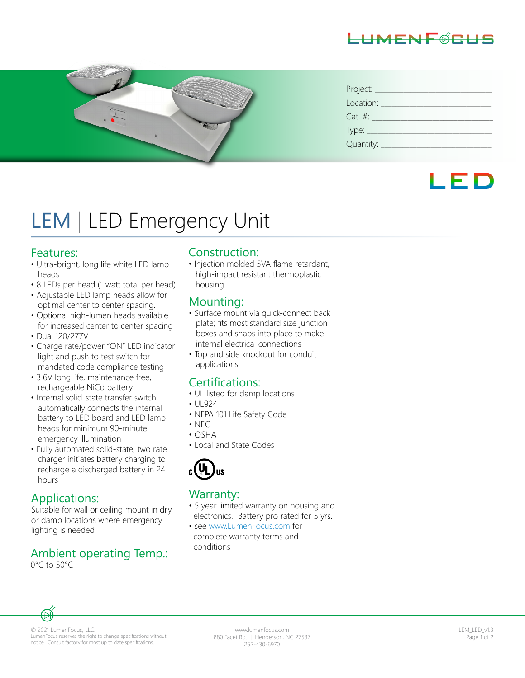# LHMENFØRHS



| Project: ____ |
|---------------|
| Location:     |
| $Cat. \#:$    |
|               |
| Quantity:     |

# LED

# LEM | LED Emergency Unit

#### Features:

- Ultra-bright, long life white LED lamp heads
- 8 LEDs per head (1 watt total per head)
- Adjustable LED lamp heads allow for optimal center to center spacing.
- Optional high-lumen heads available for increased center to center spacing
- Dual 120/277V
- Charge rate/power "ON" LED indicator light and push to test switch for mandated code compliance testing
- 3.6V long life, maintenance free, rechargeable NiCd battery
- Internal solid-state transfer switch automatically connects the internal battery to LED board and LED lamp heads for minimum 90-minute emergency illumination
- Fully automated solid-state, two rate charger initiates battery charging to recharge a discharged battery in 24 hours

#### Applications:

Suitable for wall or ceiling mount in dry or damp locations where emergency lighting is needed

#### Ambient operating Temp.: 0°C to 50°C

#### Construction:

• Injection molded 5VA flame retardant, high-impact resistant thermoplastic housing

#### Mounting:

- Surface mount via quick-connect back plate; fits most standard size junction boxes and snaps into place to make internal electrical connections
- Top and side knockout for conduit applications

#### Certifications:

- UL listed for damp locations
- UL924
- NFPA 101 Life Safety Code
- NEC
- OSHA
- Local and State Codes



#### Warranty:

- 5 year limited warranty on housing and electronics. Battery pro rated for 5 yrs.
- see www.LumenFocus.com for complete warranty terms and conditions